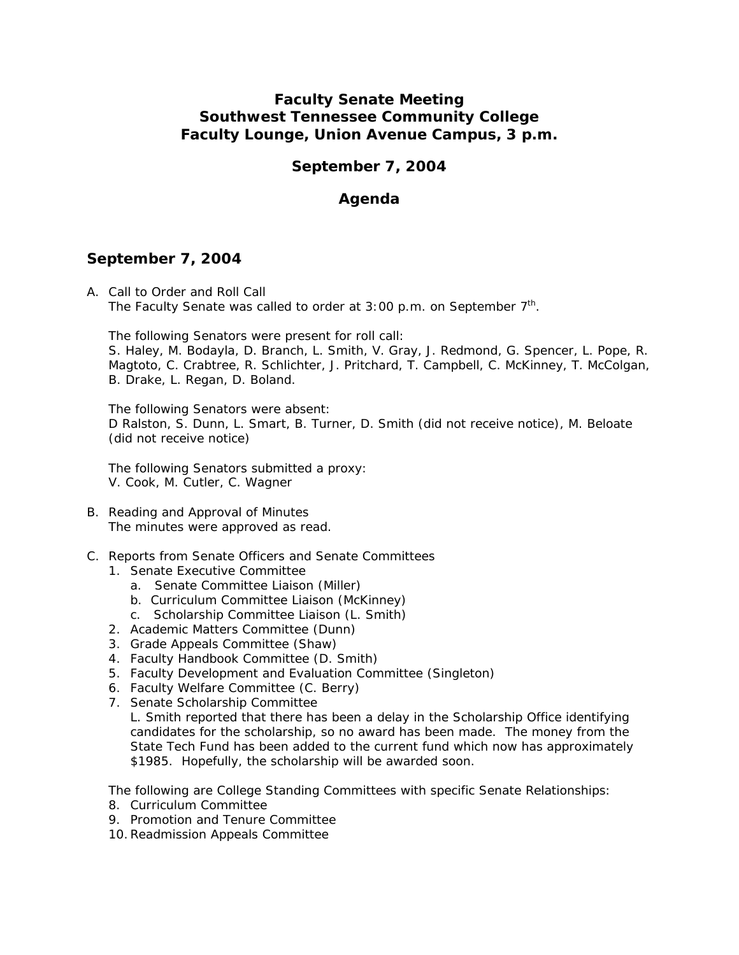# **Faculty Senate Meeting Southwest Tennessee Community College Faculty Lounge, Union Avenue Campus, 3 p.m.**

# **September 7, 2004**

# **Agenda**

## **September 7, 2004**

A. Call to Order and Roll Call The Faculty Senate was called to order at  $3:00$  p.m. on September  $7<sup>th</sup>$ .

The following Senators were present for roll call:

S. Haley, M. Bodayla, D. Branch, L. Smith, V. Gray, J. Redmond, G. Spencer, L. Pope, R. Magtoto, C. Crabtree, R. Schlichter, J. Pritchard, T. Campbell, C. McKinney, T. McColgan, B. Drake, L. Regan, D. Boland.

The following Senators were absent: D Ralston, S. Dunn, L. Smart, B. Turner, D. Smith (did not receive notice), M. Beloate (did not receive notice)

The following Senators submitted a proxy: V. Cook, M. Cutler, C. Wagner

- B. Reading and Approval of Minutes The minutes were approved as read.
- C. Reports from Senate Officers and Senate Committees
	- 1. Senate Executive Committee
		- a. Senate Committee Liaison (Miller)
		- b. Curriculum Committee Liaison (McKinney)
		- c. Scholarship Committee Liaison (L. Smith)
	- 2. Academic Matters Committee (Dunn)
	- 3. Grade Appeals Committee (Shaw)
	- 4. Faculty Handbook Committee (D. Smith)
	- 5. Faculty Development and Evaluation Committee (Singleton)
	- 6. Faculty Welfare Committee (C. Berry)
	- 7. Senate Scholarship Committee L. Smith reported that there has been a delay in the Scholarship Office identifying candidates for the scholarship, so no award has been made. The money from the State Tech Fund has been added to the current fund which now has approximately \$1985. Hopefully, the scholarship will be awarded soon.

The following are College Standing Committees with specific Senate Relationships:

- 8. Curriculum Committee
- 9. Promotion and Tenure Committee
- 10.Readmission Appeals Committee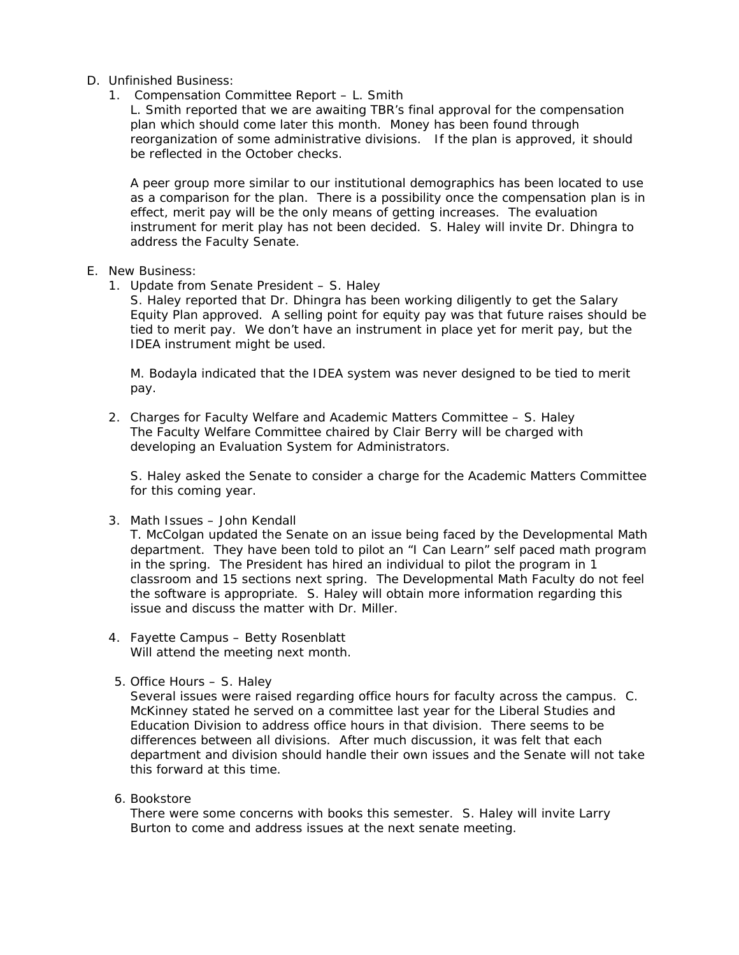- D. Unfinished Business:
	- 1. Compensation Committee Report L. Smith
		- L. Smith reported that we are awaiting TBR's final approval for the compensation plan which should come later this month. Money has been found through reorganization of some administrative divisions. If the plan is approved, it should be reflected in the October checks.

A peer group more similar to our institutional demographics has been located to use as a comparison for the plan. There is a possibility once the compensation plan is in effect, merit pay will be the only means of getting increases. The evaluation instrument for merit play has not been decided. S. Haley will invite Dr. Dhingra to address the Faculty Senate.

- E. New Business:
	- 1. Update from Senate President S. Haley

S. Haley reported that Dr. Dhingra has been working diligently to get the Salary Equity Plan approved. A selling point for equity pay was that future raises should be tied to merit pay. We don't have an instrument in place yet for merit pay, but the IDEA instrument might be used.

M. Bodayla indicated that the IDEA system was never designed to be tied to merit pay.

2. Charges for Faculty Welfare and Academic Matters Committee – S. Haley The Faculty Welfare Committee chaired by Clair Berry will be charged with developing an Evaluation System for Administrators.

S. Haley asked the Senate to consider a charge for the Academic Matters Committee for this coming year.

3. Math Issues – John Kendall

T. McColgan updated the Senate on an issue being faced by the Developmental Math department. They have been told to pilot an "I Can Learn" self paced math program in the spring. The President has hired an individual to pilot the program in 1 classroom and 15 sections next spring. The Developmental Math Faculty do not feel the software is appropriate. S. Haley will obtain more information regarding this issue and discuss the matter with Dr. Miller.

- 4. Fayette Campus Betty Rosenblatt Will attend the meeting next month.
- 5. Office Hours S. Haley

 Several issues were raised regarding office hours for faculty across the campus. C. McKinney stated he served on a committee last year for the Liberal Studies and Education Division to address office hours in that division. There seems to be differences between all divisions. After much discussion, it was felt that each department and division should handle their own issues and the Senate will not take this forward at this time.

6. Bookstore

There were some concerns with books this semester. S. Haley will invite Larry Burton to come and address issues at the next senate meeting.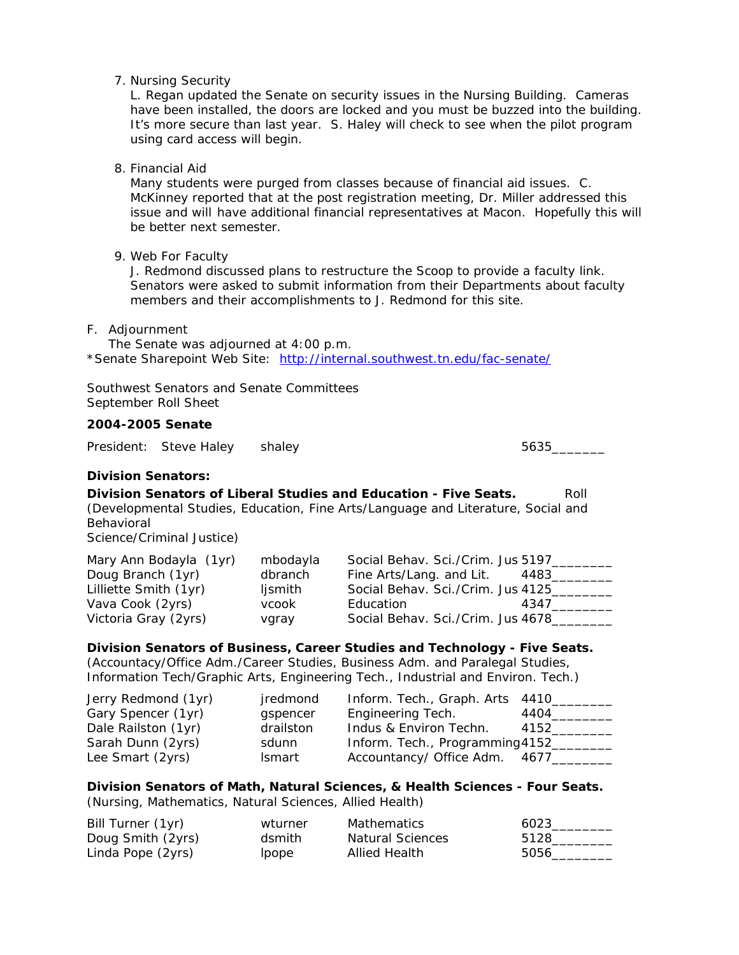7. Nursing Security

L. Regan updated the Senate on security issues in the Nursing Building. Cameras have been installed, the doors are locked and you must be buzzed into the building. It's more secure than last year. S. Haley will check to see when the pilot program using card access will begin.

8. Financial Aid

Many students were purged from classes because of financial aid issues. C. McKinney reported that at the post registration meeting, Dr. Miller addressed this issue and will have additional financial representatives at Macon. Hopefully this will be better next semester.

9. Web For Faculty

J. Redmond discussed plans to restructure the Scoop to provide a faculty link. Senators were asked to submit information from their Departments about faculty members and their accomplishments to J. Redmond for this site.

F. Adjournment

The Senate was adjourned at 4:00 p.m. \*Senate Sharepoint Web Site: http://internal.southwest.tn.edu/fac-senate/

Southwest Senators and Senate Committees September Roll Sheet

## **2004-2005 Senate**

President: Steve Haley shaley 5635\_\_\_\_\_\_\_

#### **Division Senators:**

**Division Senators of Liberal Studies and Education - Five Seats.** Roll (Developmental Studies, Education, Fine Arts/Language and Literature, Social and Behavioral

Science/Criminal Justice)

| Mary Ann Bodayla (1yr) | mbodayla | Social Behav. Sci./Crim. Jus 5197 |      |
|------------------------|----------|-----------------------------------|------|
| Doug Branch (1yr)      | dbranch  | Fine Arts/Lang. and Lit.          | 4483 |
| Lilliette Smith (1yr)  | ljsmith  | Social Behav. Sci./Crim. Jus 4125 |      |
| Vava Cook (2yrs)       | vcook    | Education                         | 4347 |
| Victoria Gray (2yrs)   | vgray    | Social Behav. Sci./Crim. Jus 4678 |      |

**Division Senators of Business, Career Studies and Technology - Five Seats.**  (Accountacy/Office Adm./Career Studies, Business Adm. and Paralegal Studies, Information Tech/Graphic Arts, Engineering Tech., Industrial and Environ. Tech.)

| Jerry Redmond (1yr) | jredmond      | Inform. Tech., Graph. Arts 4410 |      |
|---------------------|---------------|---------------------------------|------|
| Gary Spencer (1yr)  | gspencer      | Engineering Tech.               | 4404 |
| Dale Railston (1yr) | drailston     | Indus & Environ Techn.          | 4152 |
| Sarah Dunn (2yrs)   | sdunn         | Inform. Tech., Programming 4152 |      |
| Lee Smart (2yrs)    | <b>Ismart</b> | Accountancy/ Office Adm. 4677   |      |

#### **Division Senators of Math, Natural Sciences, & Health Sciences - Four Seats.**  (Nursing, Mathematics, Natural Sciences, Allied Health)

| Bill Turner (1yr) | wturner | <b>Mathematics</b>      | 6023 |
|-------------------|---------|-------------------------|------|
| Doug Smith (2yrs) | dsmith  | <b>Natural Sciences</b> | 5128 |
| Linda Pope (2yrs) | Ipope   | Allied Health           | 5056 |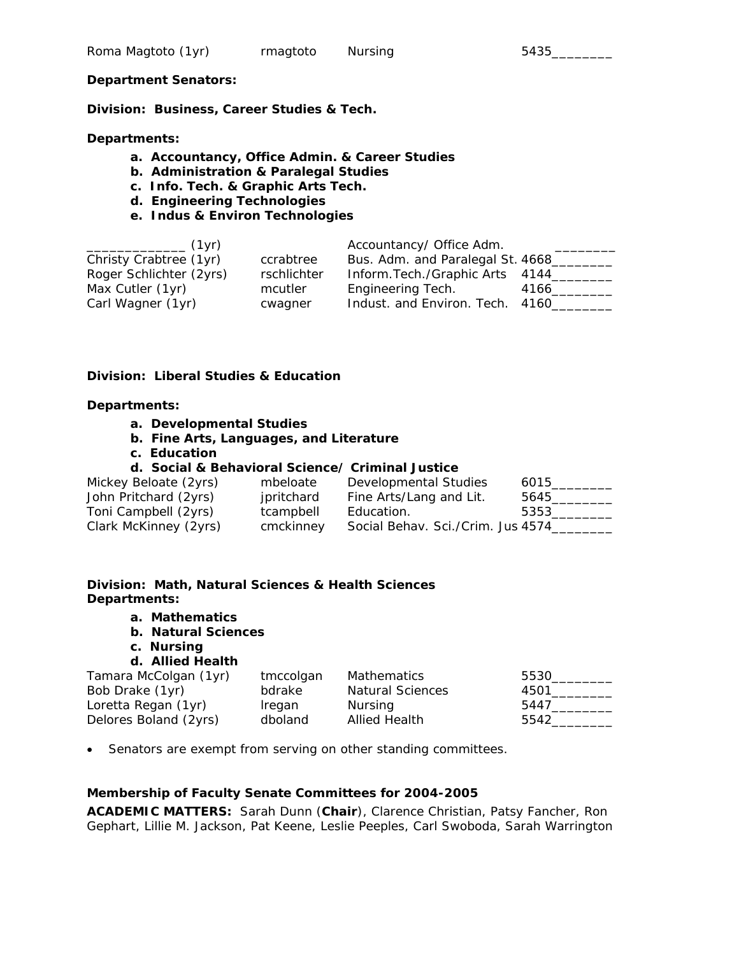#### **Department Senators:**

**Division: Business, Career Studies & Tech.** 

**Departments:** 

- **a. Accountancy, Office Admin. & Career Studies**
- **b. Administration & Paralegal Studies**
- **c. Info. Tech. & Graphic Arts Tech.**
- **d. Engineering Technologies**
- **e. Indus & Environ Technologies**

| (1vr)<br>the control of the control of the control of the control of the control of |             | Accountancy/ Office Adm.         |      |
|-------------------------------------------------------------------------------------|-------------|----------------------------------|------|
| Christy Crabtree (1yr)                                                              | ccrabtree   | Bus. Adm. and Paralegal St. 4668 |      |
| Roger Schlichter (2yrs)                                                             | rschlichter | Inform. Tech./Graphic Arts 4144  |      |
| Max Cutler (1yr)                                                                    | mcutler     | Engineering Tech.                | 4166 |
| Carl Wagner (1yr)                                                                   | cwagner     | Indust. and Environ. Tech. 4160  |      |

#### **Division: Liberal Studies & Education**

#### **Departments:**

- **a. Developmental Studies**
- **b. Fine Arts, Languages, and Literature**
- **c. Education**

## **d. Social & Behavioral Science/ Criminal Justice**

| Mickey Beloate (2yrs) | mbeloate   | Developmental Studies             | 6015 |
|-----------------------|------------|-----------------------------------|------|
| John Pritchard (2yrs) | jpritchard | Fine Arts/Lang and Lit.           | 5645 |
| Toni Campbell (2yrs)  | tcampbell  | Education.                        | 5353 |
| Clark McKinney (2yrs) | cmckinney  | Social Behav. Sci./Crim. Jus 4574 |      |

## **Division: Math, Natural Sciences & Health Sciences Departments:**

- **a. Mathematics**
- **b. Natural Sciences**
- **c. Nursing**

## **d. Allied Health**

| Tamara McColgan (1yr) | tmccolgan | Mathematics             | 5530 |
|-----------------------|-----------|-------------------------|------|
| Bob Drake (1yr)       | bdrake    | <b>Natural Sciences</b> | 4501 |
| Loretta Regan (1yr)   | Iregan    | Nursing                 | 5447 |
| Delores Boland (2yrs) | dboland   | <b>Allied Health</b>    | 5542 |

• Senators are exempt from serving on other standing committees.

## **Membership of Faculty Senate Committees for 2004-2005**

**ACADEMIC MATTERS:** Sarah Dunn (**Chair**), Clarence Christian, Patsy Fancher, Ron Gephart, Lillie M. Jackson, Pat Keene, Leslie Peeples, Carl Swoboda, Sarah Warrington